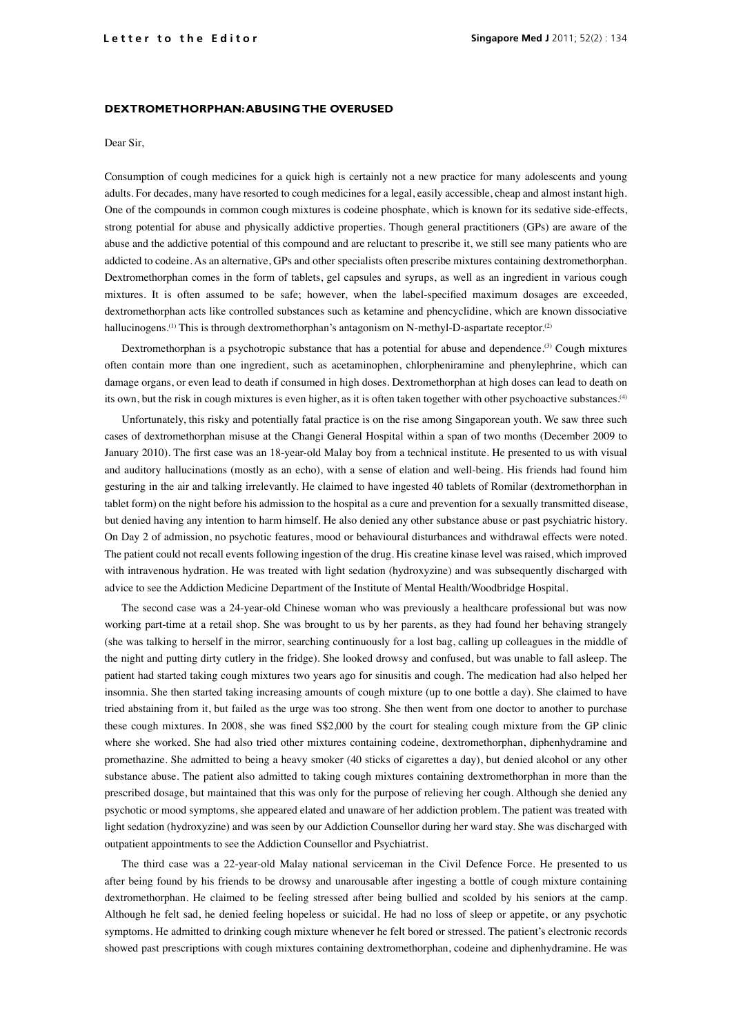## **DEXTROMETHORPHAN: ABUSING THE OVERUSED**

## Dear Sir,

Consumption of cough medicines for a quick high is certainly not a new practice for many adolescents and young adults. For decades, many have resorted to cough medicines for a legal, easily accessible, cheap and almost instant high. One of the compounds in common cough mixtures is codeine phosphate, which is known for its sedative side-effects, strong potential for abuse and physically addictive properties. Though general practitioners (GPs) are aware of the abuse and the addictive potential of this compound and are reluctant to prescribe it, we still see many patients who are addicted to codeine. As an alternative, GPs and other specialists often prescribe mixtures containing dextromethorphan. Dextromethorphan comes in the form of tablets, gel capsules and syrups, as well as an ingredient in various cough mixtures. It is often assumed to be safe; however, when the label-specified maximum dosages are exceeded, dextromethorphan acts like controlled substances such as ketamine and phencyclidine, which are known dissociative hallucinogens.<sup>(1)</sup> This is through dextromethorphan's antagonism on N-methyl-D-aspartate receptor.<sup>(2)</sup>

Dextromethorphan is a psychotropic substance that has a potential for abuse and dependence.<sup>(3)</sup> Cough mixtures often contain more than one ingredient, such as acetaminophen, chlorpheniramine and phenylephrine, which can damage organs, or even lead to death if consumed in high doses. Dextromethorphan at high doses can lead to death on its own, but the risk in cough mixtures is even higher, as it is often taken together with other psychoactive substances.(4)

Unfortunately, this risky and potentially fatal practice is on the rise among Singaporean youth. We saw three such cases of dextromethorphan misuse at the Changi General Hospital within a span of two months (December 2009 to January 2010). The first case was an 18-year-old Malay boy from a technical institute. He presented to us with visual and auditory hallucinations (mostly as an echo), with a sense of elation and well-being. His friends had found him gesturing in the air and talking irrelevantly. He claimed to have ingested 40 tablets of Romilar (dextromethorphan in tablet form) on the night before his admission to the hospital as a cure and prevention for a sexually transmitted disease, but denied having any intention to harm himself. He also denied any other substance abuse or past psychiatric history. On Day 2 of admission, no psychotic features, mood or behavioural disturbances and withdrawal effects were noted. The patient could not recall events following ingestion of the drug. His creatine kinase level was raised, which improved with intravenous hydration. He was treated with light sedation (hydroxyzine) and was subsequently discharged with advice to see the Addiction Medicine Department of the Institute of Mental Health/Woodbridge Hospital.

The second case was a 24-year-old Chinese woman who was previously a healthcare professional but was now working part-time at a retail shop. She was brought to us by her parents, as they had found her behaving strangely (she was talking to herself in the mirror, searching continuously for a lost bag, calling up colleagues in the middle of the night and putting dirty cutlery in the fridge). She looked drowsy and confused, but was unable to fall asleep. The patient had started taking cough mixtures two years ago for sinusitis and cough. The medication had also helped her insomnia. She then started taking increasing amounts of cough mixture (up to one bottle a day). She claimed to have tried abstaining from it, but failed as the urge was too strong. She then went from one doctor to another to purchase these cough mixtures. In 2008, she was fined S\$2,000 by the court for stealing cough mixture from the GP clinic where she worked. She had also tried other mixtures containing codeine, dextromethorphan, diphenhydramine and promethazine. She admitted to being a heavy smoker (40 sticks of cigarettes a day), but denied alcohol or any other substance abuse. The patient also admitted to taking cough mixtures containing dextromethorphan in more than the prescribed dosage, but maintained that this was only for the purpose of relieving her cough. Although she denied any psychotic or mood symptoms, she appeared elated and unaware of her addiction problem. The patient was treated with light sedation (hydroxyzine) and was seen by our Addiction Counsellor during her ward stay. She was discharged with outpatient appointments to see the Addiction Counsellor and Psychiatrist.

The third case was a 22-year-old Malay national serviceman in the Civil Defence Force. He presented to us after being found by his friends to be drowsy and unarousable after ingesting a bottle of cough mixture containing dextromethorphan. He claimed to be feeling stressed after being bullied and scolded by his seniors at the camp. Although he felt sad, he denied feeling hopeless or suicidal. He had no loss of sleep or appetite, or any psychotic symptoms. He admitted to drinking cough mixture whenever he felt bored or stressed. The patient's electronic records showed past prescriptions with cough mixtures containing dextromethorphan, codeine and diphenhydramine. He was